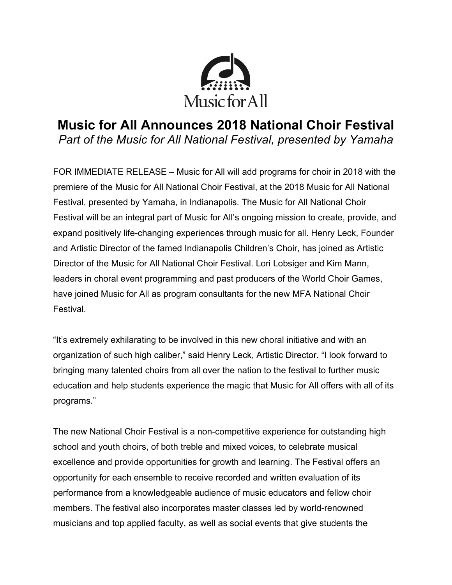

# **Music for All Announces 2018 National Choir Festival** *Part of the Music for All National Festival, presented by Yamaha*

FOR IMMEDIATE RELEASE – Music for All will add programs for choir in 2018 with the premiere of the Music for All National Choir Festival, at the 2018 Music for All National Festival, presented by Yamaha, in Indianapolis. The Music for All National Choir Festival will be an integral part of Music for All's ongoing mission to create, provide, and expand positively life-changing experiences through music for all. Henry Leck, Founder and Artistic Director of the famed Indianapolis Children's Choir, has joined as Artistic Director of the Music for All National Choir Festival. Lori Lobsiger and Kim Mann, leaders in choral event programming and past producers of the World Choir Games, have joined Music for All as program consultants for the new MFA National Choir Festival.

"It's extremely exhilarating to be involved in this new choral initiative and with an organization of such high caliber," said Henry Leck, Artistic Director. "I look forward to bringing many talented choirs from all over the nation to the festival to further music education and help students experience the magic that Music for All offers with all of its programs."

The new National Choir Festival is a non-competitive experience for outstanding high school and youth choirs, of both treble and mixed voices, to celebrate musical excellence and provide opportunities for growth and learning. The Festival offers an opportunity for each ensemble to receive recorded and written evaluation of its performance from a knowledgeable audience of music educators and fellow choir members. The festival also incorporates master classes led by world-renowned musicians and top applied faculty, as well as social events that give students the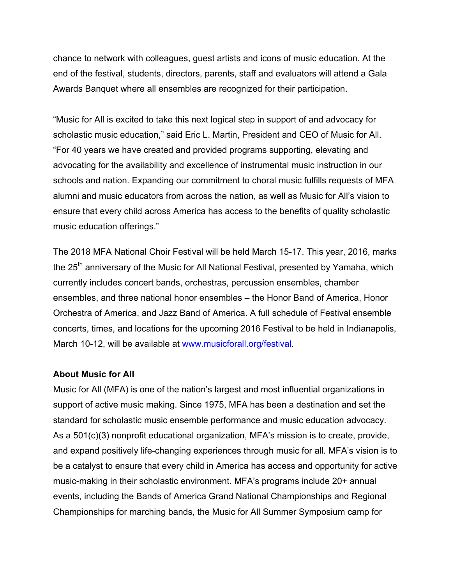chance to network with colleagues, guest artists and icons of music education. At the end of the festival, students, directors, parents, staff and evaluators will attend a Gala Awards Banquet where all ensembles are recognized for their participation.

"Music for All is excited to take this next logical step in support of and advocacy for scholastic music education," said Eric L. Martin, President and CEO of Music for All. "For 40 years we have created and provided programs supporting, elevating and advocating for the availability and excellence of instrumental music instruction in our schools and nation. Expanding our commitment to choral music fulfills requests of MFA alumni and music educators from across the nation, as well as Music for All's vision to ensure that every child across America has access to the benefits of quality scholastic music education offerings."

The 2018 MFA National Choir Festival will be held March 15-17. This year, 2016, marks the 25<sup>th</sup> anniversary of the Music for All National Festival, presented by Yamaha, which currently includes concert bands, orchestras, percussion ensembles, chamber ensembles, and three national honor ensembles – the Honor Band of America, Honor Orchestra of America, and Jazz Band of America. A full schedule of Festival ensemble concerts, times, and locations for the upcoming 2016 Festival to be held in Indianapolis, March 10-12, will be available at www.musicforall.org/festival.

#### **About Music for All**

Music for All (MFA) is one of the nation's largest and most influential organizations in support of active music making. Since 1975, MFA has been a destination and set the standard for scholastic music ensemble performance and music education advocacy. As a 501(c)(3) nonprofit educational organization, MFA's mission is to create, provide, and expand positively life-changing experiences through music for all. MFA's vision is to be a catalyst to ensure that every child in America has access and opportunity for active music-making in their scholastic environment. MFA's programs include 20+ annual events, including the Bands of America Grand National Championships and Regional Championships for marching bands, the Music for All Summer Symposium camp for